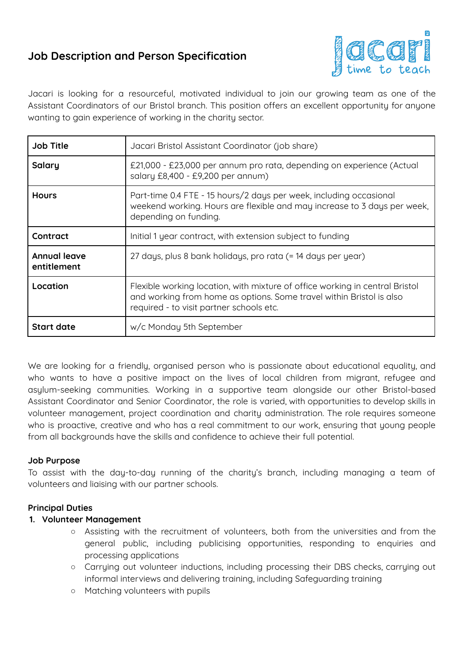# **Job Description and Person Specification**



Jacari is looking for a resourceful, motivated individual to join our growing team as one of the Assistant Coordinators of our Bristol branch. This position offers an excellent opportunity for anyone wanting to gain experience of working in the charity sector.

| <b>Job Title</b>                   | Jacari Bristol Assistant Coordinator (job share)                                                                                                                                                 |
|------------------------------------|--------------------------------------------------------------------------------------------------------------------------------------------------------------------------------------------------|
| Salary                             | £21,000 - £23,000 per annum pro rata, depending on experience (Actual<br>salary £8,400 - £9,200 per annum)                                                                                       |
| <b>Hours</b>                       | Part-time 0.4 FTE - 15 hours/2 days per week, including occasional<br>weekend working. Hours are flexible and may increase to 3 days per week,<br>depending on funding.                          |
| Contract                           | Initial 1 year contract, with extension subject to funding                                                                                                                                       |
| <b>Annual leave</b><br>entitlement | 27 days, plus 8 bank holidays, pro rata (= 14 days per year)                                                                                                                                     |
| Location                           | Flexible working location, with mixture of office working in central Bristol<br>and working from home as options. Some travel within Bristol is also<br>required - to visit partner schools etc. |
| <b>Start date</b>                  | w/c Monday 5th September                                                                                                                                                                         |

We are looking for a friendly, organised person who is passionate about educational equality, and who wants to have a positive impact on the lives of local children from migrant, refugee and asylum-seeking communities. Working in a supportive team alongside our other Bristol-based Assistant Coordinator and Senior Coordinator, the role is varied, with opportunities to develop skills in volunteer management, project coordination and charity administration. The role requires someone who is proactive, creative and who has a real commitment to our work, ensuring that young people from all backgrounds have the skills and confidence to achieve their full potential.

#### **Job Purpose**

To assist with the day-to-day running of the charity's branch, including managing a team of volunteers and liaising with our partner schools.

#### **Principal Duties**

#### **1. Volunteer Management**

- Assisting with the recruitment of volunteers, both from the universities and from the general public, including publicising opportunities, responding to enquiries and processing applications
- Carrying out volunteer inductions, including processing their DBS checks, carrying out informal interviews and delivering training, including Safeguarding training
- Matching volunteers with pupils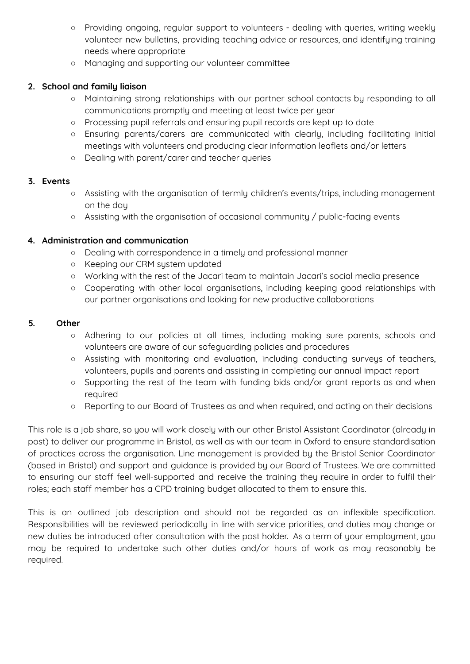- Providing ongoing, regular support to volunteers dealing with queries, writing weekly volunteer new bulletins, providing teaching advice or resources, and identifying training needs where appropriate
- Managing and supporting our volunteer committee

## **2. School and family liaison**

- Maintaining strong relationships with our partner school contacts by responding to all communications promptly and meeting at least twice per year
- Processing pupil referrals and ensuring pupil records are kept up to date
- Ensuring parents/carers are communicated with clearly, including facilitating initial meetings with volunteers and producing clear information leaflets and/or letters
- Dealing with parent/carer and teacher queries

#### **3. Events**

- Assisting with the organisation of termly children's events/trips, including management on the day
- Assisting with the organisation of occasional community / public-facing events

#### **4. Administration and communication**

- Dealing with correspondence in a timely and professional manner
- Keeping our CRM system updated
- Working with the rest of the Jacari team to maintain Jacari's social media presence
- Cooperating with other local organisations, including keeping good relationships with our partner organisations and looking for new productive collaborations

#### **5. Other**

- Adhering to our policies at all times, including making sure parents, schools and volunteers are aware of our safeguarding policies and procedures
- Assisting with monitoring and evaluation, including conducting surveys of teachers, volunteers, pupils and parents and assisting in completing our annual impact report
- Supporting the rest of the team with funding bids and/or grant reports as and when required
- Reporting to our Board of Trustees as and when required, and acting on their decisions

This role is a job share, so you will work closely with our other Bristol Assistant Coordinator (already in post) to deliver our programme in Bristol, as well as with our team in Oxford to ensure standardisation of practices across the organisation. Line management is provided by the Bristol Senior Coordinator (based in Bristol) and support and guidance is provided by our Board of Trustees. We are committed to ensuring our staff feel well-supported and receive the training they require in order to fulfil their roles; each staff member has a CPD training budget allocated to them to ensure this.

This is an outlined job description and should not be regarded as an inflexible specification. Responsibilities will be reviewed periodically in line with service priorities, and duties may change or new duties be introduced after consultation with the post holder. As a term of your employment, you may be required to undertake such other duties and/or hours of work as may reasonably be required.